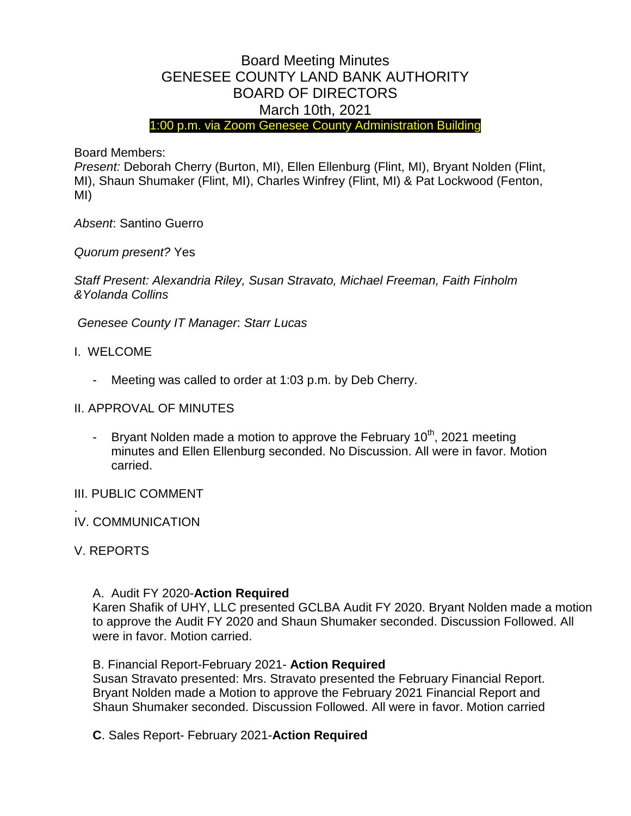# Board Meeting Minutes GENESEE COUNTY LAND BANK AUTHORITY BOARD OF DIRECTORS March 10th, 2021

1:00 p.m. via Zoom Genesee County Administration Building

Board Members:

*Present:* Deborah Cherry (Burton, MI), Ellen Ellenburg (Flint, MI), Bryant Nolden (Flint, MI), Shaun Shumaker (Flint, MI), Charles Winfrey (Flint, MI) & Pat Lockwood (Fenton, MI)

*Absent*: Santino Guerro

*Quorum present?* Yes

*Staff Present: Alexandria Riley, Susan Stravato, Michael Freeman, Faith Finholm &Yolanda Collins*

*Genesee County IT Manager*: *Starr Lucas*

- I. WELCOME
	- Meeting was called to order at 1:03 p.m. by Deb Cherry.

# II. APPROVAL OF MINUTES

- Bryant Nolden made a motion to approve the February  $10<sup>th</sup>$ , 2021 meeting minutes and Ellen Ellenburg seconded. No Discussion. All were in favor. Motion carried.

# III. PUBLIC COMMENT

#### . IV. COMMUNICATION

#### V. REPORTS

#### A. Audit FY 2020-**Action Required**

Karen Shafik of UHY, LLC presented GCLBA Audit FY 2020. Bryant Nolden made a motion to approve the Audit FY 2020 and Shaun Shumaker seconded. Discussion Followed. All were in favor. Motion carried.

#### B. Financial Report-February 2021- **Action Required**

Susan Stravato presented: Mrs. Stravato presented the February Financial Report. Bryant Nolden made a Motion to approve the February 2021 Financial Report and Shaun Shumaker seconded. Discussion Followed. All were in favor. Motion carried

**C**. Sales Report- February 2021-**Action Required**